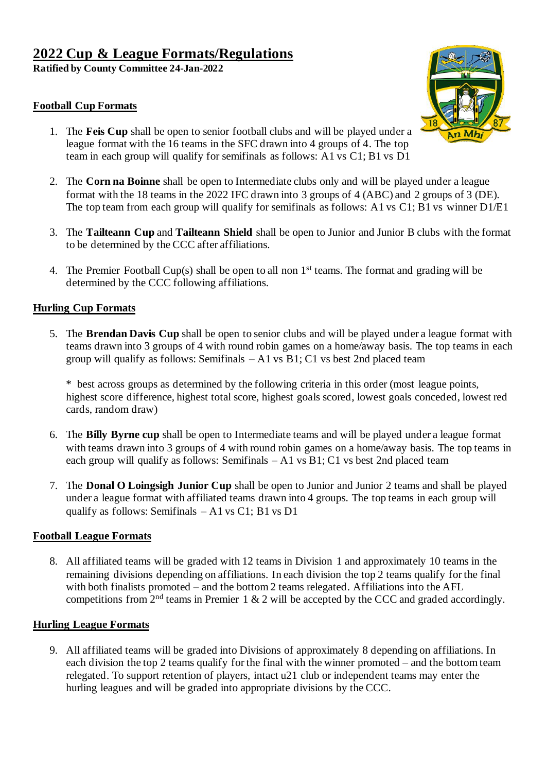**Ratified by County Committee 24-Jan-2022**

### **Football Cup Formats**



- 1. The **Feis Cup** shall be open to senior football clubs and will be played under a league format with the 16 teams in the SFC drawn into 4 groups of 4. The top team in each group will qualify for semifinals as follows: A1 vs C1; B1 vs D1
- 2. The **Corn na Boinne** shall be open to Intermediate clubs only and will be played under a league format with the 18 teams in the 2022 IFC drawn into 3 groups of 4 (ABC) and 2 groups of 3 (DE). The top team from each group will qualify for semifinals as follows: A1 vs C1; B1 vs winner D1/E1
- 3. The **Tailteann Cup** and **Tailteann Shield** shall be open to Junior and Junior B clubs with the format to be determined by the CCC after affiliations.
- 4. The Premier Football Cup(s) shall be open to all non 1st teams. The format and grading will be determined by the CCC following affiliations.

## **Hurling Cup Formats**

5. The **Brendan Davis Cup** shall be open to senior clubs and will be played under a league format with teams drawn into 3 groups of 4 with round robin games on a home/away basis. The top teams in each group will qualify as follows: Semifinals  $- A1$  vs B1; C1 vs best 2nd placed team

\* best across groups as determined by the following criteria in this order (most league points, highest score difference, highest total score, highest goals scored, lowest goals conceded, lowest red cards, random draw)

- 6. The **Billy Byrne cup** shall be open to Intermediate teams and will be played under a league format with teams drawn into 3 groups of 4 with round robin games on a home/away basis. The top teams in each group will qualify as follows: Semifinals  $- A1$  vs B1; C1 vs best 2nd placed team
- 7. The **Donal O Loingsigh Junior Cup** shall be open to Junior and Junior 2 teams and shall be played under a league format with affiliated teams drawn into 4 groups. The top teams in each group will qualify as follows: Semifinals  $- A1$  vs C1; B1 vs D1

## **Football League Formats**

8. All affiliated teams will be graded with 12 teams in Division 1 and approximately 10 teams in the remaining divisions depending on affiliations. In each division the top 2 teams qualify for the final with both finalists promoted – and the bottom 2 teams relegated. Affiliations into the AFL competitions from  $2<sup>nd</sup>$  teams in Premier 1 & 2 will be accepted by the CCC and graded accordingly.

## **Hurling League Formats**

9. All affiliated teams will be graded into Divisions of approximately 8 depending on affiliations. In each division the top 2 teams qualify for the final with the winner promoted – and the bottom team relegated. To support retention of players, intact u21 club or independent teams may enter the hurling leagues and will be graded into appropriate divisions by the CCC.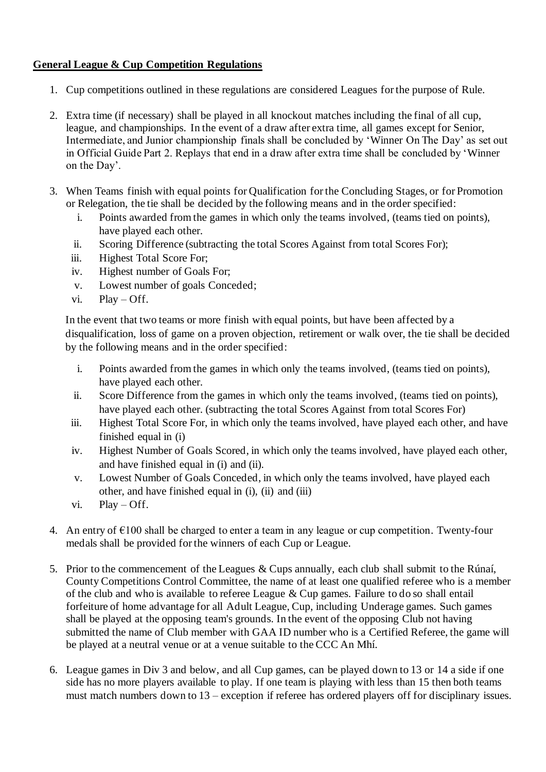# **General League & Cup Competition Regulations**

- 1. Cup competitions outlined in these regulations are considered Leagues for the purpose of Rule.
- 2. Extra time (if necessary) shall be played in all knockout matches including the final of all cup, league, and championships. In the event of a draw after extra time, all games except for Senior, Intermediate, and Junior championship finals shall be concluded by 'Winner On The Day' as set out in Official Guide Part 2. Replays that end in a draw after extra time shall be concluded by 'Winner on the Day'.
- 3. When Teams finish with equal points for Qualification for the Concluding Stages, or for Promotion or Relegation, the tie shall be decided by the following means and in the order specified:
	- i. Points awarded from the games in which only the teams involved, (teams tied on points), have played each other.
	- ii. Scoring Difference (subtracting the total Scores Against from total Scores For);
	- iii. Highest Total Score For;
	- iv. Highest number of Goals For;
	- v. Lowest number of goals Conceded;
	- vi. Play Off.

In the event that two teams or more finish with equal points, but have been affected by a disqualification, loss of game on a proven objection, retirement or walk over, the tie shall be decided by the following means and in the order specified:

- i. Points awarded from the games in which only the teams involved, (teams tied on points), have played each other.
- ii. Score Difference from the games in which only the teams involved, (teams tied on points), have played each other. (subtracting the total Scores Against from total Scores For)
- iii. Highest Total Score For, in which only the teams involved, have played each other, and have finished equal in (i)
- iv. Highest Number of Goals Scored, in which only the teams involved, have played each other, and have finished equal in (i) and (ii).
- v. Lowest Number of Goals Conceded, in which only the teams involved, have played each other, and have finished equal in (i), (ii) and (iii)
- vi. Play Off.
- 4. An entry of  $\epsilon$ 100 shall be charged to enter a team in any league or cup competition. Twenty-four medals shall be provided for the winners of each Cup or League.
- 5. Prior to the commencement of the Leagues & Cups annually, each club shall submit to the Rúnaí, County Competitions Control Committee, the name of at least one qualified referee who is a member of the club and who is available to referee League & Cup games. Failure to do so shall entail forfeiture of home advantage for all Adult League, Cup, including Underage games. Such games shall be played at the opposing team's grounds. In the event of the opposing Club not having submitted the name of Club member with GAA ID number who is a Certified Referee, the game will be played at a neutral venue or at a venue suitable to the CCC An Mhí.
- 6. League games in Div 3 and below, and all Cup games, can be played down to 13 or 14 a side if one side has no more players available to play. If one team is playing with less than 15 then both teams must match numbers down to 13 – exception if referee has ordered players off for disciplinary issues.